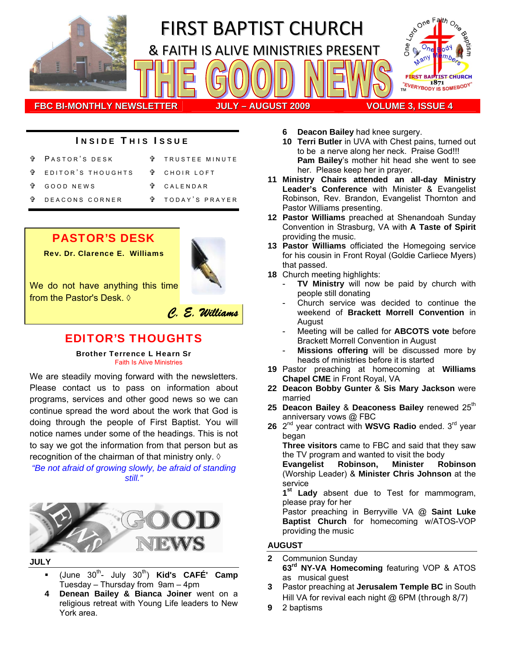

### INSIDE THIS ISSUE

- PASTOR'S DESK EDITOR'S THOUGHTS GOOD NEWS **T** TRUSTEE MINUTE = CHOIR LOFT = CALENDAR
- DEACONS CORNER
- = TODAY ' S PRAYER

## PASTOR'S DESK

Rev. Dr. Clarence E. Williams



We do not have anything this time from the Pastor's Desk. ◊



# EDITOR'S THOUGHTS

Brother Terrence L Hearn Sr Faith Is Alive Ministries

We are steadily moving forward with the newsletters. Please contact us to pass on information about programs, services and other good news so we can continue spread the word about the work that God is doing through the people of First Baptist. You will notice names under some of the headings. This is not to say we got the information from that person but as recognition of the chairman of that ministry only.  $\Diamond$ 

*"Be not afraid of growing slowly, be afraid of standing still."*



**JULY** 

- (June 30th- July 30th) **Kid's CAFÉ' Camp** Tuesday – Thursday from 9am – 4pm
- **4 Denean Bailey & Bianca Joiner** went on a religious retreat with Young Life leaders to New York area.
- **6 Deacon Bailey** had knee surgery.
- **10 Terri Butler** in UVA with Chest pains, turned out to be a nerve along her neck. Praise God!!! **Pam Bailey**'s mother hit head she went to see her. Please keep her in prayer.
- **11 Ministry Chairs attended an all-day Ministry Leader's Conference** with Minister & Evangelist Robinson, Rev. Brandon, Evangelist Thornton and Pastor Williams presenting.
- **12 Pastor Williams** preached at Shenandoah Sunday Convention in Strasburg, VA with **A Taste of Spirit** providing the music.
- **13 Pastor Williams** officiated the Homegoing service for his cousin in Front Royal (Goldie Carliece Myers) that passed.
- **18** Church meeting highlights:
	- **TV Ministry** will now be paid by church with people still donating
	- Church service was decided to continue the weekend of **Brackett Morrell Convention** in August
	- Meeting will be called for **ABCOTS** vote before Brackett Morrell Convention in August
	- Missions offering will be discussed more by heads of ministries before it is started
- **19** Pastor preaching at homecoming at **Williams Chapel CME** in Front Royal, VA
- **22 Deacon Bobby Gunter** & **Sis Mary Jackson** were married
- 25 Deacon Bailey & Deaconess Bailey renewed 25<sup>th</sup> anniversary vows @ FBC
- 26 2<sup>nd</sup> year contract with **WSVG Radio** ended. 3<sup>rd</sup> year began

**Three visitors** came to FBC and said that they saw the TV program and wanted to visit the body

**Evangelist Robinson, Minister Robinson** (Worship Leader) & **Minister Chris Johnson** at the service

**1st Lady** absent due to Test for mammogram, please pray for her

Pastor preaching in Berryville VA @ **Saint Luke Baptist Church** for homecoming w/ATOS-VOP providing the music

#### **AUGUST**

- **2** Communion Sunday **63rd NY-VA Homecoming** featuring VOP & ATOS as musical guest
- **3** Pastor preaching at **Jerusalem Temple BC** in South Hill VA for revival each night @ 6PM (through 8/7)
- **9** 2 baptisms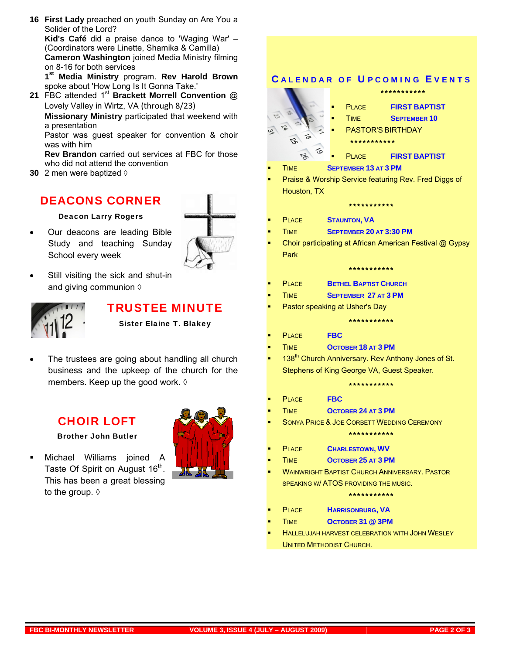- **16 First Lady** preached on youth Sunday on Are You a Solider of the Lord? **Kid's Café** did a praise dance to 'Waging War' – (Coordinators were Linette, Shamika & Camilla) **Cameron Washington** joined Media Ministry filming on 8-16 for both services **1st Media Ministry** program. **Rev Harold Brown** spoke about 'How Long Is It Gonna Take.' **21** FBC attended 1st **Brackett Morrell Convention** @ Lovely Valley in Wirtz, VA (through 8/23) **Missionary Ministry** participated that weekend with
	- a presentation Pastor was guest speaker for convention & choir

was with him

**Rev Brandon** carried out services at FBC for those who did not attend the convention

**30** 2 men were baptized ◊

### DEACONS CORNER

Deacon Larry Rogers

• Our deacons are leading Bible Study and teaching Sunday School every week



Still visiting the sick and shut-in and giving communion  $\Diamond$ 



### TRUSTEE MINUTE

Sister Elaine T. Blakey

The trustees are going about handling all church business and the upkeep of the church for the members. Keep up the good work. ♦

### CHOIR LOFT

Brother John Butler

 Michael Williams joined A Taste Of Spirit on August 16<sup>th</sup>. This has been a great blessing to the group. ◊





UNITED METHODIST CHURCH.